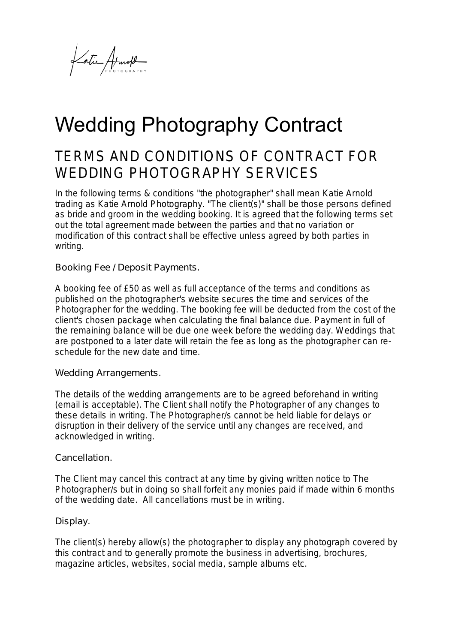Latic Armold

# Wedding Photography Contract

## TERMS AND CONDITIONS OF CONTRACT FOR WEDDING PHOTOGRAPHY SERVICES

In the following terms & conditions "the photographer" shall mean Katie Arnold trading as Katie Arnold Photography. "The client(s)" shall be those persons defined as bride and groom in the wedding booking. It is agreed that the following terms set out the total agreement made between the parties and that no variation or modification of this contract shall be effective unless agreed by both parties in writing.

Booking Fee / Deposit Payments.

A booking fee of £50 as well as full acceptance of the terms and conditions as published on the photographer's website secures the time and services of the Photographer for the wedding. The booking fee will be deducted from the cost of the client's chosen package when calculating the final balance due. Payment in full of the remaining balance will be due one week before the wedding day. Weddings that are postponed to a later date will retain the fee as long as the photographer can reschedule for the new date and time.

Wedding Arrangements.

The details of the wedding arrangements are to be agreed beforehand in writing (email is acceptable). The Client shall notify the Photographer of any changes to these details in writing. The Photographer/s cannot be held liable for delays or disruption in their delivery of the service until any changes are received, and acknowledged in writing.

#### Cancellation.

The Client may cancel this contract at any time by giving written notice to The Photographer/s but in doing so shall forfeit any monies paid if made within 6 months of the wedding date. All cancellations must be in writing.

### Display.

The client(s) hereby allow(s) the photographer to display any photograph covered by this contract and to generally promote the business in advertising, brochures, magazine articles, websites, social media, sample albums etc.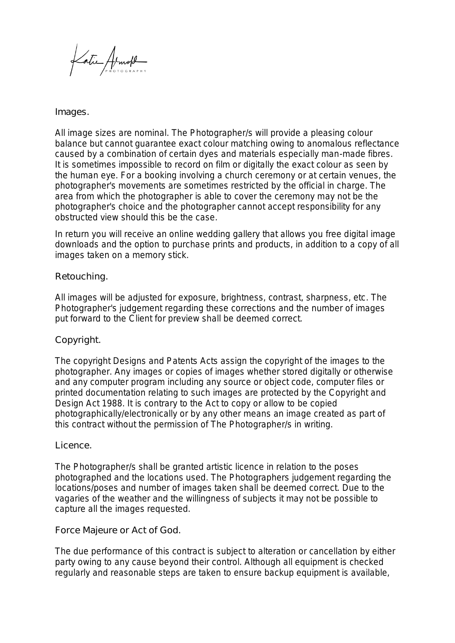Katic Armold

#### Images.

All image sizes are nominal. The Photographer/s will provide a pleasing colour balance but cannot guarantee exact colour matching owing to anomalous reflectance caused by a combination of certain dyes and materials especially man-made fibres. It is sometimes impossible to record on film or digitally the exact colour as seen by the human eye. For a booking involving a church ceremony or at certain venues, the photographer's movements are sometimes restricted by the official in charge. The area from which the photographer is able to cover the ceremony may not be the photographer's choice and the photographer cannot accept responsibility for any obstructed view should this be the case.

In return you will receive an online wedding gallery that allows you free digital image downloads and the option to purchase prints and products, in addition to a copy of all images taken on a memory stick.

#### Retouching.

All images will be adjusted for exposure, brightness, contrast, sharpness, etc. The Photographer's judgement regarding these corrections and the number of images put forward to the Client for preview shall be deemed correct.

#### Copyright.

The copyright Designs and Patents Acts assign the copyright of the images to the photographer. Any images or copies of images whether stored digitally or otherwise and any computer program including any source or object code, computer files or printed documentation relating to such images are protected by the Copyright and Design Act 1988. It is contrary to the Act to copy or allow to be copied photographically/electronically or by any other means an image created as part of this contract without the permission of The Photographer/s in writing.

#### Licence.

The Photographer/s shall be granted artistic licence in relation to the poses photographed and the locations used. The Photographers judgement regarding the locations/poses and number of images taken shall be deemed correct. Due to the vagaries of the weather and the willingness of subjects it may not be possible to capture all the images requested.

#### Force Majeure or Act of God.

The due performance of this contract is subject to alteration or cancellation by either party owing to any cause beyond their control. Although all equipment is checked regularly and reasonable steps are taken to ensure backup equipment is available,